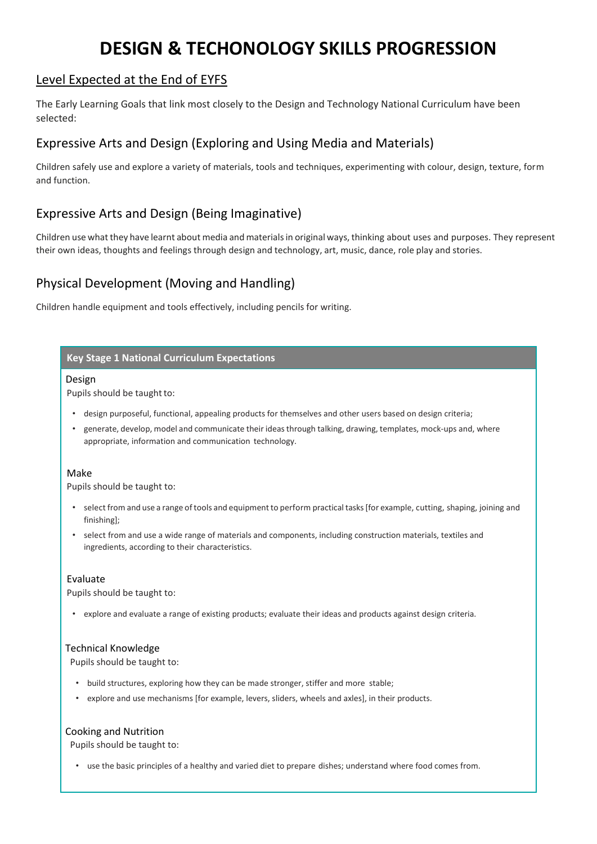# **DESIGN & TECHONOLOGY SKILLS PROGRESSION**

### Level Expected at the End of EYFS

The Early Learning Goals that link most closely to the Design and Technology National Curriculum have been selected:

## Expressive Arts and Design (Exploring and Using Media and Materials)

Children safely use and explore a variety of materials, tools and techniques, experimenting with colour, design, texture, form and function.

## Expressive Arts and Design (Being Imaginative)

Children use what they have learnt about media and materialsin original ways, thinking about uses and purposes. They represent their own ideas, thoughts and feelings through design and technology, art, music, dance, role play and stories.

## Physical Development (Moving and Handling)

Children handle equipment and tools effectively, including pencils for writing.

#### **Key Stage 1 National Curriculum Expectations**

#### Design

Pupils should be taught to:

- design purposeful, functional, appealing products for themselves and other users based on design criteria;
- generate, develop, model and communicate their ideasthrough talking, drawing, templates, mock-ups and, where appropriate, information and communication technology.

#### Make

Pupils should be taught to:

- select from and use a range of tools and equipment to perform practical tasks[for example, cutting, shaping, joining and finishing];
- select from and use a wide range of materials and components, including construction materials, textiles and ingredients, according to their characteristics.

#### Evaluate

Pupils should be taught to:

• explore and evaluate a range of existing products; evaluate their ideas and products against design criteria.

#### Technical Knowledge

Pupils should be taught to:

- build structures, exploring how they can be made stronger, stiffer and more stable;
- explore and use mechanisms [for example, levers, sliders, wheels and axles], in their products.

#### Cooking and Nutrition

Pupils should be taught to:

• use the basic principles of a healthy and varied diet to prepare dishes; understand where food comes from.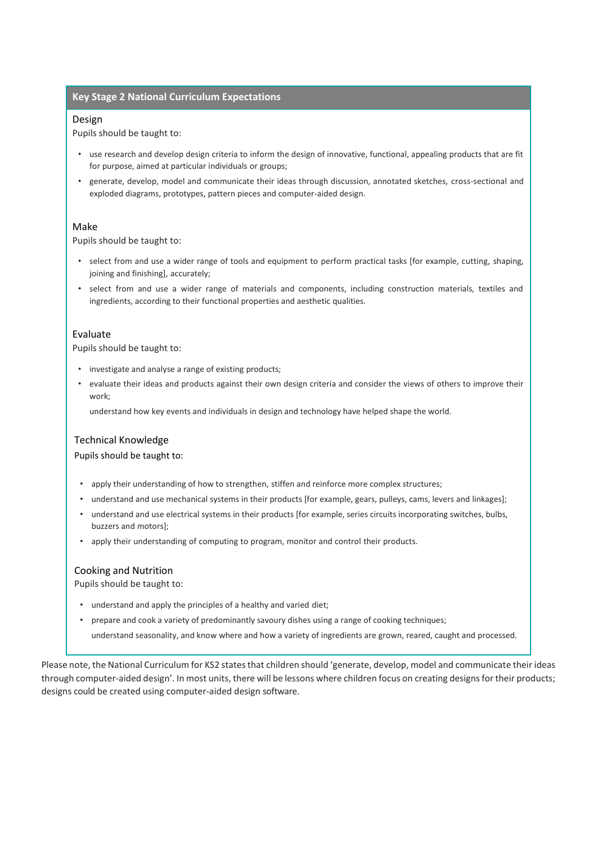#### **Key Stage 2 National Curriculum Expectations**

#### Design

Pupils should be taught to:

- use research and develop design criteria to inform the design of innovative, functional, appealing products that are fit for purpose, aimed at particular individuals or groups;
- generate, develop, model and communicate their ideas through discussion, annotated sketches, cross-sectional and exploded diagrams, prototypes, pattern pieces and computer-aided design.

#### Make

Pupils should be taught to:

- select from and use a wider range of tools and equipment to perform practical tasks [for example, cutting, shaping, joining and finishing], accurately;
- select from and use a wider range of materials and components, including construction materials, textiles and ingredients, according to their functional properties and aesthetic qualities.

#### Evaluate

Pupils should be taught to:

- investigate and analyse a range of existing products;
- evaluate their ideas and products against their own design criteria and consider the views of others to improve their work;

understand how key events and individuals in design and technology have helped shape the world.

#### Technical Knowledge

Pupils should be taught to:

- apply their understanding of how to strengthen, stiffen and reinforce more complex structures;
- understand and use mechanical systems in their products [for example, gears, pulleys, cams, levers and linkages];
- understand and use electrical systems in their products [for example, series circuits incorporating switches, bulbs, buzzers and motors];
- apply their understanding of computing to program, monitor and control their products.

#### Cooking and Nutrition

Pupils should be taught to:

- understand and apply the principles of a healthy and varied diet;
- prepare and cook a variety of predominantly savoury dishes using a range of cooking techniques;
	- understand seasonality, and know where and how a variety of ingredients are grown, reared, caught and processed.

Please note, the National Curriculum for KS2 states that children should 'generate, develop, model and communicate their ideas through computer-aided design'. In most units, there will be lessons where children focus on creating designs for their products; designs could be created using computer-aided design software.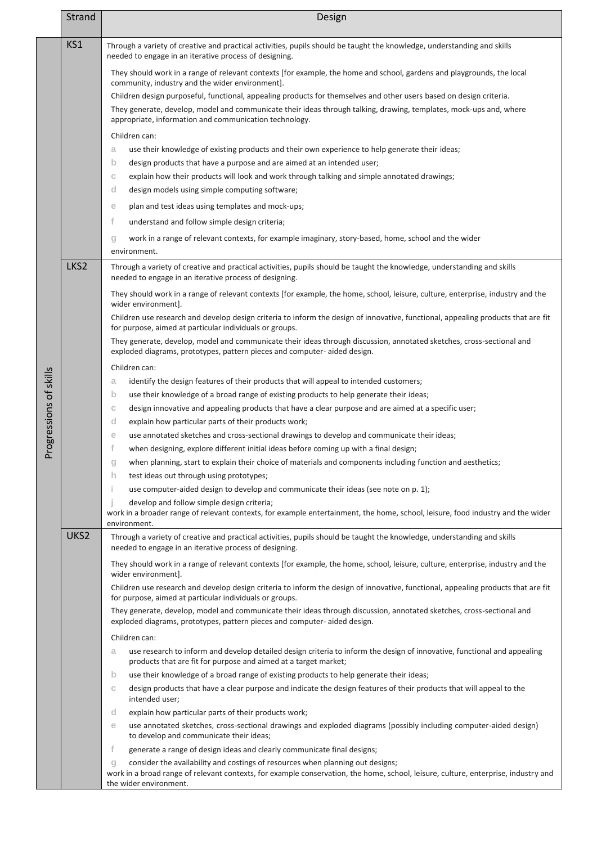|                        | <b>Strand</b> | Design                                                                                                                                                                                                                                              |
|------------------------|---------------|-----------------------------------------------------------------------------------------------------------------------------------------------------------------------------------------------------------------------------------------------------|
|                        | KS1           | Through a variety of creative and practical activities, pupils should be taught the knowledge, understanding and skills<br>needed to engage in an iterative process of designing.                                                                   |
|                        |               | They should work in a range of relevant contexts [for example, the home and school, gardens and playgrounds, the local<br>community, industry and the wider environment].                                                                           |
|                        |               | Children design purposeful, functional, appealing products for themselves and other users based on design criteria.                                                                                                                                 |
|                        |               | They generate, develop, model and communicate their ideas through talking, drawing, templates, mock-ups and, where<br>appropriate, information and communication technology.                                                                        |
|                        |               | Children can:                                                                                                                                                                                                                                       |
|                        |               | use their knowledge of existing products and their own experience to help generate their ideas;<br>a                                                                                                                                                |
|                        |               | design products that have a purpose and are aimed at an intended user;<br>$\mathsf{b}$                                                                                                                                                              |
|                        |               | explain how their products will look and work through talking and simple annotated drawings;<br>С                                                                                                                                                   |
|                        |               | d<br>design models using simple computing software;                                                                                                                                                                                                 |
|                        |               | plan and test ideas using templates and mock-ups;<br>е                                                                                                                                                                                              |
|                        |               | f<br>understand and follow simple design criteria;                                                                                                                                                                                                  |
|                        |               | work in a range of relevant contexts, for example imaginary, story-based, home, school and the wider<br>g<br>environment.                                                                                                                           |
|                        | LKS2          | Through a variety of creative and practical activities, pupils should be taught the knowledge, understanding and skills                                                                                                                             |
|                        |               | needed to engage in an iterative process of designing.                                                                                                                                                                                              |
|                        |               | They should work in a range of relevant contexts [for example, the home, school, leisure, culture, enterprise, industry and the<br>wider environment].                                                                                              |
|                        |               | Children use research and develop design criteria to inform the design of innovative, functional, appealing products that are fit<br>for purpose, aimed at particular individuals or groups.                                                        |
|                        |               | They generate, develop, model and communicate their ideas through discussion, annotated sketches, cross-sectional and<br>exploded diagrams, prototypes, pattern pieces and computer- aided design.                                                  |
|                        |               | Children can:                                                                                                                                                                                                                                       |
|                        |               | identify the design features of their products that will appeal to intended customers;<br>a                                                                                                                                                         |
| Progressions of skills |               | $\mathsf{b}$<br>use their knowledge of a broad range of existing products to help generate their ideas;                                                                                                                                             |
|                        |               | $\mathbb C$<br>design innovative and appealing products that have a clear purpose and are aimed at a specific user;                                                                                                                                 |
|                        |               | explain how particular parts of their products work;<br>d                                                                                                                                                                                           |
|                        |               | use annotated sketches and cross-sectional drawings to develop and communicate their ideas;<br>е                                                                                                                                                    |
|                        |               | f<br>when designing, explore different initial ideas before coming up with a final design;                                                                                                                                                          |
|                        |               | when planning, start to explain their choice of materials and components including function and aesthetics;<br>g                                                                                                                                    |
|                        |               | h.<br>test ideas out through using prototypes;                                                                                                                                                                                                      |
|                        |               | Ť.<br>use computer-aided design to develop and communicate their ideas (see note on p. 1);                                                                                                                                                          |
|                        |               | Ť<br>develop and follow simple design criteria;<br>work in a broader range of relevant contexts, for example entertainment, the home, school, leisure, food industry and the wider<br>environment.                                                  |
|                        | UKS2          | Through a variety of creative and practical activities, pupils should be taught the knowledge, understanding and skills<br>needed to engage in an iterative process of designing.                                                                   |
|                        |               | They should work in a range of relevant contexts [for example, the home, school, leisure, culture, enterprise, industry and the<br>wider environment].                                                                                              |
|                        |               | Children use research and develop design criteria to inform the design of innovative, functional, appealing products that are fit<br>for purpose, aimed at particular individuals or groups.                                                        |
|                        |               | They generate, develop, model and communicate their ideas through discussion, annotated sketches, cross-sectional and<br>exploded diagrams, prototypes, pattern pieces and computer- aided design.                                                  |
|                        |               | Children can:                                                                                                                                                                                                                                       |
|                        |               | use research to inform and develop detailed design criteria to inform the design of innovative, functional and appealing<br>a<br>products that are fit for purpose and aimed at a target market;                                                    |
|                        |               | use their knowledge of a broad range of existing products to help generate their ideas;<br>$\mathsf{b}$                                                                                                                                             |
|                        |               | design products that have a clear purpose and indicate the design features of their products that will appeal to the<br>С<br>intended user;                                                                                                         |
|                        |               | explain how particular parts of their products work;<br>d                                                                                                                                                                                           |
|                        |               | use annotated sketches, cross-sectional drawings and exploded diagrams (possibly including computer-aided design)<br>е                                                                                                                              |
|                        |               | to develop and communicate their ideas;                                                                                                                                                                                                             |
|                        |               | f<br>generate a range of design ideas and clearly communicate final designs;                                                                                                                                                                        |
|                        |               | consider the availability and costings of resources when planning out designs;<br>g<br>work in a broad range of relevant contexts, for example conservation, the home, school, leisure, culture, enterprise, industry and<br>the wider environment. |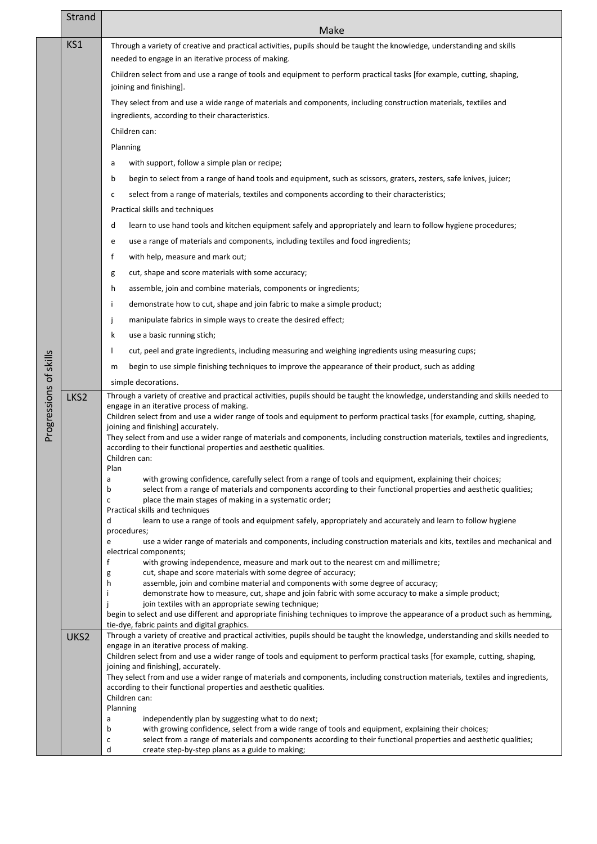|                        | Strand           | Make                                                                                                                                                                                                                                                                                                                                                                                                                                                                                                                                                                                                                                                                                                                                                                                                                             |
|------------------------|------------------|----------------------------------------------------------------------------------------------------------------------------------------------------------------------------------------------------------------------------------------------------------------------------------------------------------------------------------------------------------------------------------------------------------------------------------------------------------------------------------------------------------------------------------------------------------------------------------------------------------------------------------------------------------------------------------------------------------------------------------------------------------------------------------------------------------------------------------|
|                        | KS1              | Through a variety of creative and practical activities, pupils should be taught the knowledge, understanding and skills                                                                                                                                                                                                                                                                                                                                                                                                                                                                                                                                                                                                                                                                                                          |
|                        |                  | needed to engage in an iterative process of making.                                                                                                                                                                                                                                                                                                                                                                                                                                                                                                                                                                                                                                                                                                                                                                              |
|                        |                  | Children select from and use a range of tools and equipment to perform practical tasks [for example, cutting, shaping,<br>joining and finishing].                                                                                                                                                                                                                                                                                                                                                                                                                                                                                                                                                                                                                                                                                |
|                        |                  | They select from and use a wide range of materials and components, including construction materials, textiles and<br>ingredients, according to their characteristics.                                                                                                                                                                                                                                                                                                                                                                                                                                                                                                                                                                                                                                                            |
|                        |                  | Children can:                                                                                                                                                                                                                                                                                                                                                                                                                                                                                                                                                                                                                                                                                                                                                                                                                    |
|                        |                  | Planning                                                                                                                                                                                                                                                                                                                                                                                                                                                                                                                                                                                                                                                                                                                                                                                                                         |
|                        |                  | with support, follow a simple plan or recipe;<br>a                                                                                                                                                                                                                                                                                                                                                                                                                                                                                                                                                                                                                                                                                                                                                                               |
|                        |                  | begin to select from a range of hand tools and equipment, such as scissors, graters, zesters, safe knives, juicer;<br>b                                                                                                                                                                                                                                                                                                                                                                                                                                                                                                                                                                                                                                                                                                          |
|                        |                  | select from a range of materials, textiles and components according to their characteristics;<br>с                                                                                                                                                                                                                                                                                                                                                                                                                                                                                                                                                                                                                                                                                                                               |
|                        |                  | Practical skills and techniques                                                                                                                                                                                                                                                                                                                                                                                                                                                                                                                                                                                                                                                                                                                                                                                                  |
|                        |                  | learn to use hand tools and kitchen equipment safely and appropriately and learn to follow hygiene procedures;<br>d                                                                                                                                                                                                                                                                                                                                                                                                                                                                                                                                                                                                                                                                                                              |
|                        |                  | use a range of materials and components, including textiles and food ingredients;<br>e                                                                                                                                                                                                                                                                                                                                                                                                                                                                                                                                                                                                                                                                                                                                           |
|                        |                  | f<br>with help, measure and mark out;                                                                                                                                                                                                                                                                                                                                                                                                                                                                                                                                                                                                                                                                                                                                                                                            |
|                        |                  | cut, shape and score materials with some accuracy;<br>g                                                                                                                                                                                                                                                                                                                                                                                                                                                                                                                                                                                                                                                                                                                                                                          |
|                        |                  | assemble, join and combine materials, components or ingredients;<br>h                                                                                                                                                                                                                                                                                                                                                                                                                                                                                                                                                                                                                                                                                                                                                            |
|                        |                  | demonstrate how to cut, shape and join fabric to make a simple product;<br>Ť                                                                                                                                                                                                                                                                                                                                                                                                                                                                                                                                                                                                                                                                                                                                                     |
|                        |                  | manipulate fabrics in simple ways to create the desired effect;<br>Ĵ                                                                                                                                                                                                                                                                                                                                                                                                                                                                                                                                                                                                                                                                                                                                                             |
|                        |                  | k<br>use a basic running stich;                                                                                                                                                                                                                                                                                                                                                                                                                                                                                                                                                                                                                                                                                                                                                                                                  |
|                        |                  | cut, peel and grate ingredients, including measuring and weighing ingredients using measuring cups;                                                                                                                                                                                                                                                                                                                                                                                                                                                                                                                                                                                                                                                                                                                              |
|                        |                  | begin to use simple finishing techniques to improve the appearance of their product, such as adding<br>m                                                                                                                                                                                                                                                                                                                                                                                                                                                                                                                                                                                                                                                                                                                         |
|                        |                  | simple decorations.                                                                                                                                                                                                                                                                                                                                                                                                                                                                                                                                                                                                                                                                                                                                                                                                              |
| Progressions of skills | LKS <sub>2</sub> | Through a variety of creative and practical activities, pupils should be taught the knowledge, understanding and skills needed to<br>engage in an iterative process of making.<br>Children select from and use a wider range of tools and equipment to perform practical tasks [for example, cutting, shaping,<br>joining and finishing] accurately.<br>They select from and use a wider range of materials and components, including construction materials, textiles and ingredients,<br>according to their functional properties and aesthetic qualities.<br>Children can:<br>Plan<br>with growing confidence, carefully select from a range of tools and equipment, explaining their choices;<br>a<br>select from a range of materials and components according to their functional properties and aesthetic qualities;<br>b |
|                        |                  | place the main stages of making in a systematic order;<br>с<br>Practical skills and techniques                                                                                                                                                                                                                                                                                                                                                                                                                                                                                                                                                                                                                                                                                                                                   |
|                        |                  | learn to use a range of tools and equipment safely, appropriately and accurately and learn to follow hygiene<br>d<br>procedures;                                                                                                                                                                                                                                                                                                                                                                                                                                                                                                                                                                                                                                                                                                 |
|                        |                  | use a wider range of materials and components, including construction materials and kits, textiles and mechanical and<br>e<br>electrical components;                                                                                                                                                                                                                                                                                                                                                                                                                                                                                                                                                                                                                                                                             |
|                        |                  | f<br>with growing independence, measure and mark out to the nearest cm and millimetre;                                                                                                                                                                                                                                                                                                                                                                                                                                                                                                                                                                                                                                                                                                                                           |
|                        |                  | cut, shape and score materials with some degree of accuracy;<br>g<br>assemble, join and combine material and components with some degree of accuracy;<br>h                                                                                                                                                                                                                                                                                                                                                                                                                                                                                                                                                                                                                                                                       |
|                        |                  | demonstrate how to measure, cut, shape and join fabric with some accuracy to make a simple product;                                                                                                                                                                                                                                                                                                                                                                                                                                                                                                                                                                                                                                                                                                                              |
|                        |                  | join textiles with an appropriate sewing technique;<br>begin to select and use different and appropriate finishing techniques to improve the appearance of a product such as hemming,                                                                                                                                                                                                                                                                                                                                                                                                                                                                                                                                                                                                                                            |
|                        |                  | tie-dye, fabric paints and digital graphics.                                                                                                                                                                                                                                                                                                                                                                                                                                                                                                                                                                                                                                                                                                                                                                                     |
|                        | UKS2             | Through a variety of creative and practical activities, pupils should be taught the knowledge, understanding and skills needed to<br>engage in an iterative process of making.                                                                                                                                                                                                                                                                                                                                                                                                                                                                                                                                                                                                                                                   |
|                        |                  | Children select from and use a wider range of tools and equipment to perform practical tasks [for example, cutting, shaping,                                                                                                                                                                                                                                                                                                                                                                                                                                                                                                                                                                                                                                                                                                     |
|                        |                  | joining and finishing], accurately.<br>They select from and use a wider range of materials and components, including construction materials, textiles and ingredients,                                                                                                                                                                                                                                                                                                                                                                                                                                                                                                                                                                                                                                                           |
|                        |                  | according to their functional properties and aesthetic qualities.                                                                                                                                                                                                                                                                                                                                                                                                                                                                                                                                                                                                                                                                                                                                                                |
|                        |                  | Children can:<br>Planning                                                                                                                                                                                                                                                                                                                                                                                                                                                                                                                                                                                                                                                                                                                                                                                                        |
|                        |                  | independently plan by suggesting what to do next;<br>a                                                                                                                                                                                                                                                                                                                                                                                                                                                                                                                                                                                                                                                                                                                                                                           |
|                        |                  | with growing confidence, select from a wide range of tools and equipment, explaining their choices;<br>b<br>select from a range of materials and components according to their functional properties and aesthetic qualities;<br>с                                                                                                                                                                                                                                                                                                                                                                                                                                                                                                                                                                                               |
|                        |                  | d<br>create step-by-step plans as a guide to making;                                                                                                                                                                                                                                                                                                                                                                                                                                                                                                                                                                                                                                                                                                                                                                             |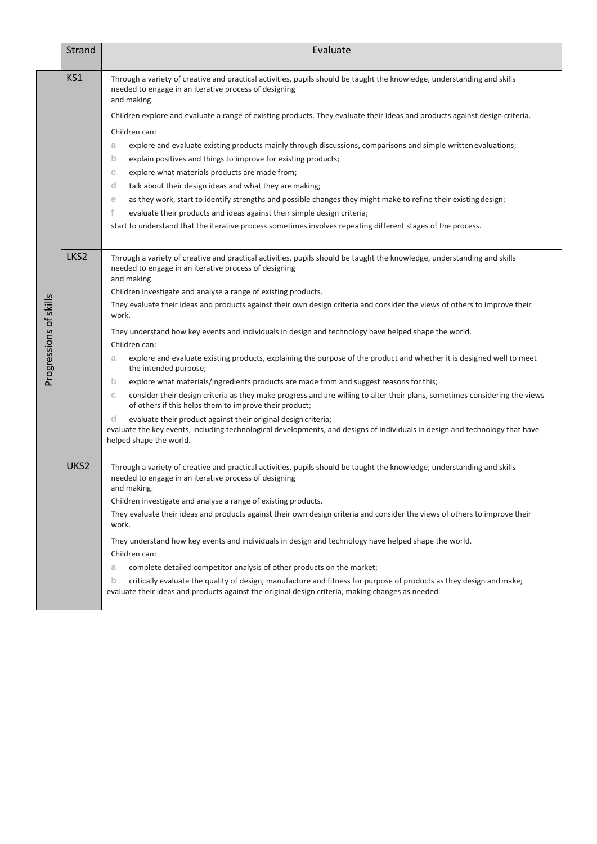|                        | Strand           | Evaluate                                                                                                                                                                                                                                                                                                                                                                                                                                                                                                                                                                                                                                                                                                                                                                                                                                                                                                                                                                                                                                                                                                                                                                                                                           |
|------------------------|------------------|------------------------------------------------------------------------------------------------------------------------------------------------------------------------------------------------------------------------------------------------------------------------------------------------------------------------------------------------------------------------------------------------------------------------------------------------------------------------------------------------------------------------------------------------------------------------------------------------------------------------------------------------------------------------------------------------------------------------------------------------------------------------------------------------------------------------------------------------------------------------------------------------------------------------------------------------------------------------------------------------------------------------------------------------------------------------------------------------------------------------------------------------------------------------------------------------------------------------------------|
|                        | KS1              | Through a variety of creative and practical activities, pupils should be taught the knowledge, understanding and skills<br>needed to engage in an iterative process of designing<br>and making.<br>Children explore and evaluate a range of existing products. They evaluate their ideas and products against design criteria.<br>Children can:<br>explore and evaluate existing products mainly through discussions, comparisons and simple written evaluations;<br>а<br>explain positives and things to improve for existing products;<br>$\mathsf{b}$<br>explore what materials products are made from;<br>С<br>d<br>talk about their design ideas and what they are making;<br>as they work, start to identify strengths and possible changes they might make to refine their existing design;<br>е<br>f<br>evaluate their products and ideas against their simple design criteria;<br>start to understand that the iterative process sometimes involves repeating different stages of the process.                                                                                                                                                                                                                            |
| Progressions of skills | LKS <sub>2</sub> | Through a variety of creative and practical activities, pupils should be taught the knowledge, understanding and skills<br>needed to engage in an iterative process of designing<br>and making.<br>Children investigate and analyse a range of existing products.<br>They evaluate their ideas and products against their own design criteria and consider the views of others to improve their<br>work.<br>They understand how key events and individuals in design and technology have helped shape the world.<br>Children can:<br>explore and evaluate existing products, explaining the purpose of the product and whether it is designed well to meet<br>a<br>the intended purpose;<br>$\mathsf{b}$<br>explore what materials/ingredients products are made from and suggest reasons for this;<br>consider their design criteria as they make progress and are willing to alter their plans, sometimes considering the views<br>С<br>of others if this helps them to improve their product;<br>d<br>evaluate their product against their original design criteria;<br>evaluate the key events, including technological developments, and designs of individuals in design and technology that have<br>helped shape the world. |
|                        | UKS2             | Through a variety of creative and practical activities, pupils should be taught the knowledge, understanding and skills<br>needed to engage in an iterative process of designing<br>and making.<br>Children investigate and analyse a range of existing products.<br>They evaluate their ideas and products against their own design criteria and consider the views of others to improve their<br>work.<br>They understand how key events and individuals in design and technology have helped shape the world.<br>Children can:<br>complete detailed competitor analysis of other products on the market;<br>a<br>$\mathbf b$<br>critically evaluate the quality of design, manufacture and fitness for purpose of products as they design and make;<br>evaluate their ideas and products against the original design criteria, making changes as needed.                                                                                                                                                                                                                                                                                                                                                                        |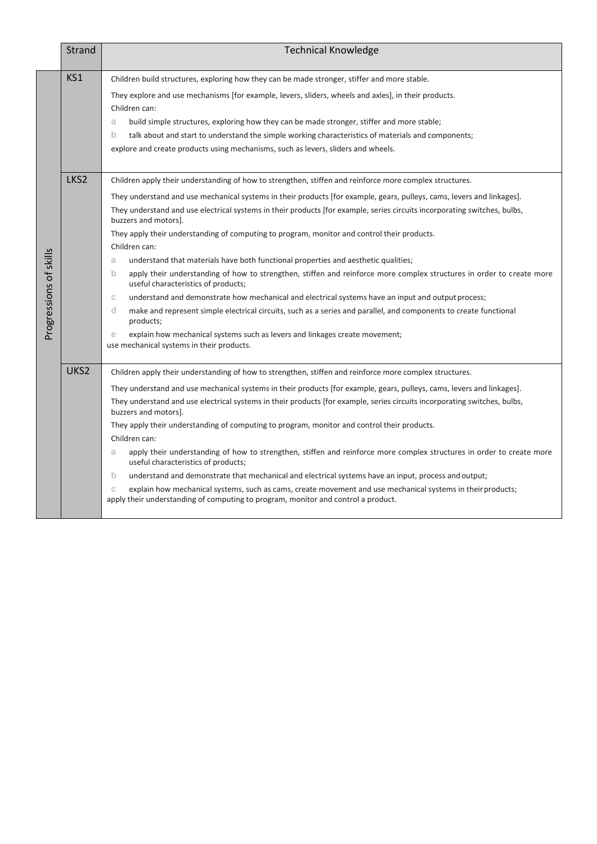|                        | <b>Strand</b>    | <b>Technical Knowledge</b>                                                                                                                                                                                                                                                                                                                                                                                                                                                                                                                                                                                                                                                                                                                                                                                                                                                                                                                                                                                                                                                                                                                                |
|------------------------|------------------|-----------------------------------------------------------------------------------------------------------------------------------------------------------------------------------------------------------------------------------------------------------------------------------------------------------------------------------------------------------------------------------------------------------------------------------------------------------------------------------------------------------------------------------------------------------------------------------------------------------------------------------------------------------------------------------------------------------------------------------------------------------------------------------------------------------------------------------------------------------------------------------------------------------------------------------------------------------------------------------------------------------------------------------------------------------------------------------------------------------------------------------------------------------|
| Progressions of skills | KS1              | Children build structures, exploring how they can be made stronger, stiffer and more stable.<br>They explore and use mechanisms [for example, levers, sliders, wheels and axles], in their products.<br>Children can:<br>build simple structures, exploring how they can be made stronger, stiffer and more stable;<br>a<br>b<br>talk about and start to understand the simple working characteristics of materials and components;<br>explore and create products using mechanisms, such as levers, sliders and wheels.                                                                                                                                                                                                                                                                                                                                                                                                                                                                                                                                                                                                                                  |
|                        | LKS <sub>2</sub> | Children apply their understanding of how to strengthen, stiffen and reinforce more complex structures.<br>They understand and use mechanical systems in their products [for example, gears, pulleys, cams, levers and linkages].<br>They understand and use electrical systems in their products [for example, series circuits incorporating switches, bulbs,<br>buzzers and motors].<br>They apply their understanding of computing to program, monitor and control their products.<br>Children can:<br>understand that materials have both functional properties and aesthetic qualities;<br>a<br>b<br>apply their understanding of how to strengthen, stiffen and reinforce more complex structures in order to create more<br>useful characteristics of products;<br>understand and demonstrate how mechanical and electrical systems have an input and output process;<br>С<br>d<br>make and represent simple electrical circuits, such as a series and parallel, and components to create functional<br>products;<br>explain how mechanical systems such as levers and linkages create movement;<br>е<br>use mechanical systems in their products. |
|                        | UKS2             | Children apply their understanding of how to strengthen, stiffen and reinforce more complex structures.<br>They understand and use mechanical systems in their products [for example, gears, pulleys, cams, levers and linkages].<br>They understand and use electrical systems in their products [for example, series circuits incorporating switches, bulbs,<br>buzzers and motors].<br>They apply their understanding of computing to program, monitor and control their products.<br>Children can:<br>apply their understanding of how to strengthen, stiffen and reinforce more complex structures in order to create more<br>a<br>useful characteristics of products;<br>$\mathsf{b}$<br>understand and demonstrate that mechanical and electrical systems have an input, process and output;<br>explain how mechanical systems, such as cams, create movement and use mechanical systems in their products;<br>С<br>apply their understanding of computing to program, monitor and control a product.                                                                                                                                              |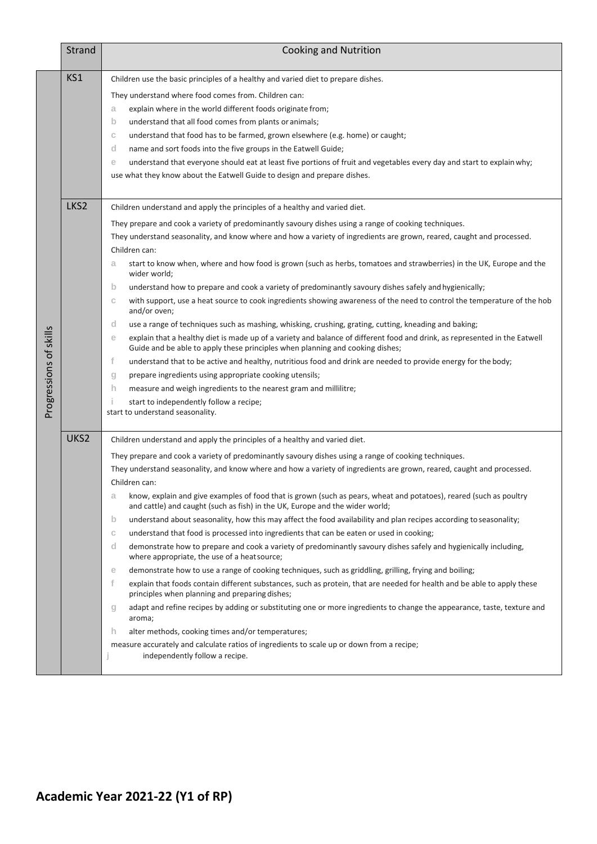|                        | <b>Strand</b>    | <b>Cooking and Nutrition</b>                                                                                                                                                                                                                                                                                                                                                                                                                                                                                                                                                                                                                                                                                                                                                                                                                                                                                                                                                                                                                                                                                                                                                                                                                                                                                                                                                                                                                                                                                                                                                                 |
|------------------------|------------------|----------------------------------------------------------------------------------------------------------------------------------------------------------------------------------------------------------------------------------------------------------------------------------------------------------------------------------------------------------------------------------------------------------------------------------------------------------------------------------------------------------------------------------------------------------------------------------------------------------------------------------------------------------------------------------------------------------------------------------------------------------------------------------------------------------------------------------------------------------------------------------------------------------------------------------------------------------------------------------------------------------------------------------------------------------------------------------------------------------------------------------------------------------------------------------------------------------------------------------------------------------------------------------------------------------------------------------------------------------------------------------------------------------------------------------------------------------------------------------------------------------------------------------------------------------------------------------------------|
| Progressions of skills | KS1              | Children use the basic principles of a healthy and varied diet to prepare dishes.<br>They understand where food comes from. Children can:<br>explain where in the world different foods originate from;<br>a<br>b<br>understand that all food comes from plants or animals;<br>understand that food has to be farmed, grown elsewhere (e.g. home) or caught;<br>C<br>name and sort foods into the five groups in the Eatwell Guide;<br>d<br>understand that everyone should eat at least five portions of fruit and vegetables every day and start to explain why;<br>е<br>use what they know about the Eatwell Guide to design and prepare dishes.                                                                                                                                                                                                                                                                                                                                                                                                                                                                                                                                                                                                                                                                                                                                                                                                                                                                                                                                          |
|                        | LKS <sub>2</sub> | Children understand and apply the principles of a healthy and varied diet.<br>They prepare and cook a variety of predominantly savoury dishes using a range of cooking techniques.<br>They understand seasonality, and know where and how a variety of ingredients are grown, reared, caught and processed.<br>Children can:<br>start to know when, where and how food is grown (such as herbs, tomatoes and strawberries) in the UK, Europe and the<br>a<br>wider world;<br>$\mathsf{b}$<br>understand how to prepare and cook a variety of predominantly savoury dishes safely and hygienically;<br>with support, use a heat source to cook ingredients showing awareness of the need to control the temperature of the hob<br>C<br>and/or oven;<br>d<br>use a range of techniques such as mashing, whisking, crushing, grating, cutting, kneading and baking;<br>explain that a healthy diet is made up of a variety and balance of different food and drink, as represented in the Eatwell<br>e<br>Guide and be able to apply these principles when planning and cooking dishes;<br>f<br>understand that to be active and healthy, nutritious food and drink are needed to provide energy for the body;<br>prepare ingredients using appropriate cooking utensils;<br>g<br>h<br>measure and weigh ingredients to the nearest gram and millilitre;<br>Ť.<br>start to independently follow a recipe;<br>start to understand seasonality.                                                                                                                                                   |
|                        | UKS2             | Children understand and apply the principles of a healthy and varied diet.<br>They prepare and cook a variety of predominantly savoury dishes using a range of cooking techniques.<br>They understand seasonality, and know where and how a variety of ingredients are grown, reared, caught and processed.<br>Children can:<br>know, explain and give examples of food that is grown (such as pears, wheat and potatoes), reared (such as poultry<br>а<br>and cattle) and caught (such as fish) in the UK, Europe and the wider world;<br>understand about seasonality, how this may affect the food availability and plan recipes according to seasonality;<br>$\mathsf{b}$<br>understand that food is processed into ingredients that can be eaten or used in cooking;<br>C<br>d<br>demonstrate how to prepare and cook a variety of predominantly savoury dishes safely and hygienically including,<br>where appropriate, the use of a heat source;<br>demonstrate how to use a range of cooking techniques, such as griddling, grilling, frying and boiling;<br>e<br>f<br>explain that foods contain different substances, such as protein, that are needed for health and be able to apply these<br>principles when planning and preparing dishes;<br>adapt and refine recipes by adding or substituting one or more ingredients to change the appearance, taste, texture and<br>g<br>aroma;<br>alter methods, cooking times and/or temperatures;<br>h.<br>measure accurately and calculate ratios of ingredients to scale up or down from a recipe;<br>independently follow a recipe. |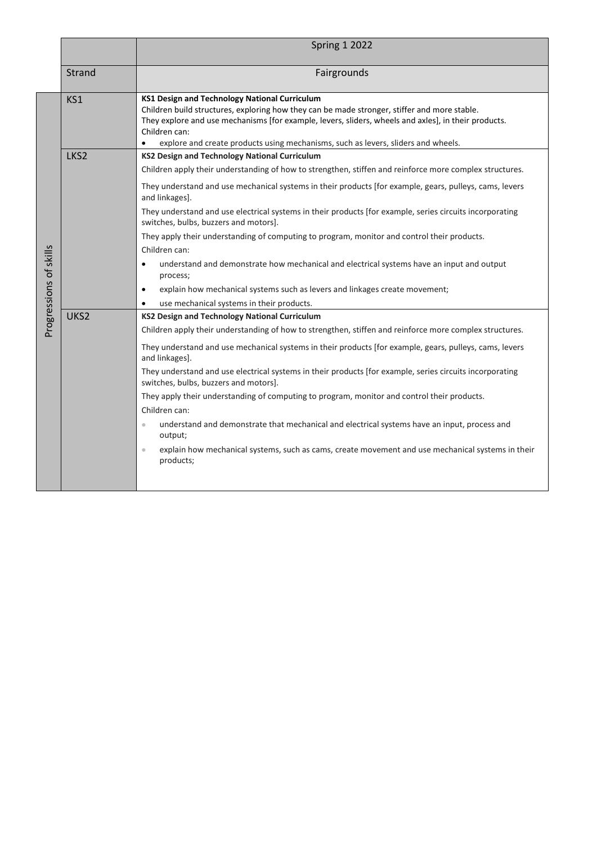|                        |                  | <b>Spring 1 2022</b>                                                                                                                                                                                                                                                                                                                                               |
|------------------------|------------------|--------------------------------------------------------------------------------------------------------------------------------------------------------------------------------------------------------------------------------------------------------------------------------------------------------------------------------------------------------------------|
|                        | Strand           | Fairgrounds                                                                                                                                                                                                                                                                                                                                                        |
|                        | KS1              | <b>KS1 Design and Technology National Curriculum</b><br>Children build structures, exploring how they can be made stronger, stiffer and more stable.<br>They explore and use mechanisms [for example, levers, sliders, wheels and axles], in their products.<br>Children can:<br>explore and create products using mechanisms, such as levers, sliders and wheels. |
|                        | LKS2             | KS2 Design and Technology National Curriculum                                                                                                                                                                                                                                                                                                                      |
|                        |                  | Children apply their understanding of how to strengthen, stiffen and reinforce more complex structures.                                                                                                                                                                                                                                                            |
|                        |                  | They understand and use mechanical systems in their products [for example, gears, pulleys, cams, levers<br>and linkages].                                                                                                                                                                                                                                          |
|                        |                  | They understand and use electrical systems in their products [for example, series circuits incorporating<br>switches, bulbs, buzzers and motors].                                                                                                                                                                                                                  |
|                        |                  | They apply their understanding of computing to program, monitor and control their products.                                                                                                                                                                                                                                                                        |
|                        |                  | Children can:                                                                                                                                                                                                                                                                                                                                                      |
| Progressions of skills |                  | understand and demonstrate how mechanical and electrical systems have an input and output<br>$\bullet$<br>process;                                                                                                                                                                                                                                                 |
|                        |                  | explain how mechanical systems such as levers and linkages create movement;<br>$\bullet$                                                                                                                                                                                                                                                                           |
|                        |                  | use mechanical systems in their products.                                                                                                                                                                                                                                                                                                                          |
|                        | UKS <sub>2</sub> | <b>KS2 Design and Technology National Curriculum</b>                                                                                                                                                                                                                                                                                                               |
|                        |                  | Children apply their understanding of how to strengthen, stiffen and reinforce more complex structures.                                                                                                                                                                                                                                                            |
|                        |                  | They understand and use mechanical systems in their products [for example, gears, pulleys, cams, levers<br>and linkages].                                                                                                                                                                                                                                          |
|                        |                  | They understand and use electrical systems in their products [for example, series circuits incorporating<br>switches, bulbs, buzzers and motors].                                                                                                                                                                                                                  |
|                        |                  | They apply their understanding of computing to program, monitor and control their products.                                                                                                                                                                                                                                                                        |
|                        |                  | Children can:                                                                                                                                                                                                                                                                                                                                                      |
|                        |                  | understand and demonstrate that mechanical and electrical systems have an input, process and<br>$\qquad \qquad \circ$<br>output;                                                                                                                                                                                                                                   |
|                        |                  | explain how mechanical systems, such as cams, create movement and use mechanical systems in their<br>$\bullet$<br>products;                                                                                                                                                                                                                                        |
|                        |                  |                                                                                                                                                                                                                                                                                                                                                                    |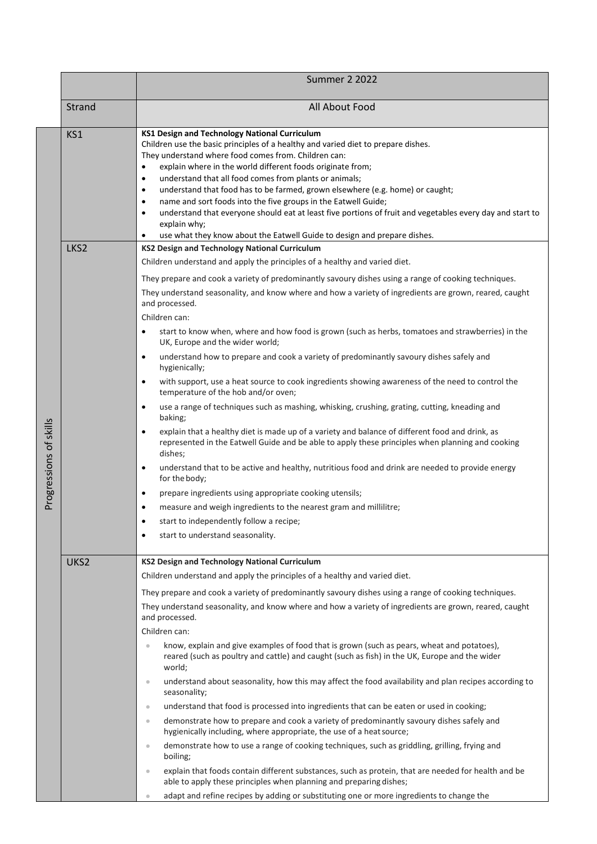|                        |        | <b>Summer 2 2022</b>                                                                                                                                                                                                                                                                                                                                                                                                                                                                                                                                                                                                                                                                                                                         |
|------------------------|--------|----------------------------------------------------------------------------------------------------------------------------------------------------------------------------------------------------------------------------------------------------------------------------------------------------------------------------------------------------------------------------------------------------------------------------------------------------------------------------------------------------------------------------------------------------------------------------------------------------------------------------------------------------------------------------------------------------------------------------------------------|
|                        | Strand | All About Food                                                                                                                                                                                                                                                                                                                                                                                                                                                                                                                                                                                                                                                                                                                               |
|                        | KS1    | KS1 Design and Technology National Curriculum<br>Children use the basic principles of a healthy and varied diet to prepare dishes.<br>They understand where food comes from. Children can:<br>explain where in the world different foods originate from;<br>$\bullet$<br>understand that all food comes from plants or animals;<br>٠<br>understand that food has to be farmed, grown elsewhere (e.g. home) or caught;<br>$\bullet$<br>name and sort foods into the five groups in the Eatwell Guide;<br>$\bullet$<br>understand that everyone should eat at least five portions of fruit and vegetables every day and start to<br>$\bullet$<br>explain why;<br>use what they know about the Eatwell Guide to design and prepare dishes.<br>٠ |
|                        | LKS2   | <b>KS2 Design and Technology National Curriculum</b>                                                                                                                                                                                                                                                                                                                                                                                                                                                                                                                                                                                                                                                                                         |
|                        |        | Children understand and apply the principles of a healthy and varied diet.                                                                                                                                                                                                                                                                                                                                                                                                                                                                                                                                                                                                                                                                   |
|                        |        | They prepare and cook a variety of predominantly savoury dishes using a range of cooking techniques.<br>They understand seasonality, and know where and how a variety of ingredients are grown, reared, caught<br>and processed.<br>Children can:                                                                                                                                                                                                                                                                                                                                                                                                                                                                                            |
|                        |        | start to know when, where and how food is grown (such as herbs, tomatoes and strawberries) in the<br>$\bullet$<br>UK, Europe and the wider world;                                                                                                                                                                                                                                                                                                                                                                                                                                                                                                                                                                                            |
|                        |        | understand how to prepare and cook a variety of predominantly savoury dishes safely and<br>$\bullet$<br>hygienically;                                                                                                                                                                                                                                                                                                                                                                                                                                                                                                                                                                                                                        |
|                        |        | with support, use a heat source to cook ingredients showing awareness of the need to control the<br>$\bullet$<br>temperature of the hob and/or oven;                                                                                                                                                                                                                                                                                                                                                                                                                                                                                                                                                                                         |
|                        |        | use a range of techniques such as mashing, whisking, crushing, grating, cutting, kneading and<br>$\bullet$<br>baking;                                                                                                                                                                                                                                                                                                                                                                                                                                                                                                                                                                                                                        |
| Progressions of skills |        | explain that a healthy diet is made up of a variety and balance of different food and drink, as<br>$\bullet$<br>represented in the Eatwell Guide and be able to apply these principles when planning and cooking<br>dishes;                                                                                                                                                                                                                                                                                                                                                                                                                                                                                                                  |
|                        |        | understand that to be active and healthy, nutritious food and drink are needed to provide energy<br>$\bullet$<br>for the body;                                                                                                                                                                                                                                                                                                                                                                                                                                                                                                                                                                                                               |
|                        |        | prepare ingredients using appropriate cooking utensils;<br>$\bullet$                                                                                                                                                                                                                                                                                                                                                                                                                                                                                                                                                                                                                                                                         |
|                        |        | measure and weigh ingredients to the nearest gram and millilitre;<br>$\bullet$                                                                                                                                                                                                                                                                                                                                                                                                                                                                                                                                                                                                                                                               |
|                        |        | start to independently follow a recipe;                                                                                                                                                                                                                                                                                                                                                                                                                                                                                                                                                                                                                                                                                                      |
|                        |        | start to understand seasonality.<br>$\bullet$                                                                                                                                                                                                                                                                                                                                                                                                                                                                                                                                                                                                                                                                                                |
|                        | UKS2   | <b>KS2 Design and Technology National Curriculum</b>                                                                                                                                                                                                                                                                                                                                                                                                                                                                                                                                                                                                                                                                                         |
|                        |        | Children understand and apply the principles of a healthy and varied diet.                                                                                                                                                                                                                                                                                                                                                                                                                                                                                                                                                                                                                                                                   |
|                        |        | They prepare and cook a variety of predominantly savoury dishes using a range of cooking techniques.<br>They understand seasonality, and know where and how a variety of ingredients are grown, reared, caught<br>and processed.                                                                                                                                                                                                                                                                                                                                                                                                                                                                                                             |
|                        |        | Children can:                                                                                                                                                                                                                                                                                                                                                                                                                                                                                                                                                                                                                                                                                                                                |
|                        |        | know, explain and give examples of food that is grown (such as pears, wheat and potatoes),<br>$\qquad \qquad \bullet$<br>reared (such as poultry and cattle) and caught (such as fish) in the UK, Europe and the wider<br>world;                                                                                                                                                                                                                                                                                                                                                                                                                                                                                                             |
|                        |        | understand about seasonality, how this may affect the food availability and plan recipes according to<br>$\qquad \qquad \circ$<br>seasonality;                                                                                                                                                                                                                                                                                                                                                                                                                                                                                                                                                                                               |
|                        |        | understand that food is processed into ingredients that can be eaten or used in cooking;<br>$\circ$                                                                                                                                                                                                                                                                                                                                                                                                                                                                                                                                                                                                                                          |
|                        |        | demonstrate how to prepare and cook a variety of predominantly savoury dishes safely and<br>$\qquad \qquad \circ$<br>hygienically including, where appropriate, the use of a heat source;                                                                                                                                                                                                                                                                                                                                                                                                                                                                                                                                                    |
|                        |        | demonstrate how to use a range of cooking techniques, such as griddling, grilling, frying and<br>$\hskip 10pt\circ$<br>boiling;                                                                                                                                                                                                                                                                                                                                                                                                                                                                                                                                                                                                              |
|                        |        | explain that foods contain different substances, such as protein, that are needed for health and be<br>$\qquad \qquad \circ$<br>able to apply these principles when planning and preparing dishes;                                                                                                                                                                                                                                                                                                                                                                                                                                                                                                                                           |
|                        |        | adapt and refine recipes by adding or substituting one or more ingredients to change the<br>$\qquad \qquad \circ$                                                                                                                                                                                                                                                                                                                                                                                                                                                                                                                                                                                                                            |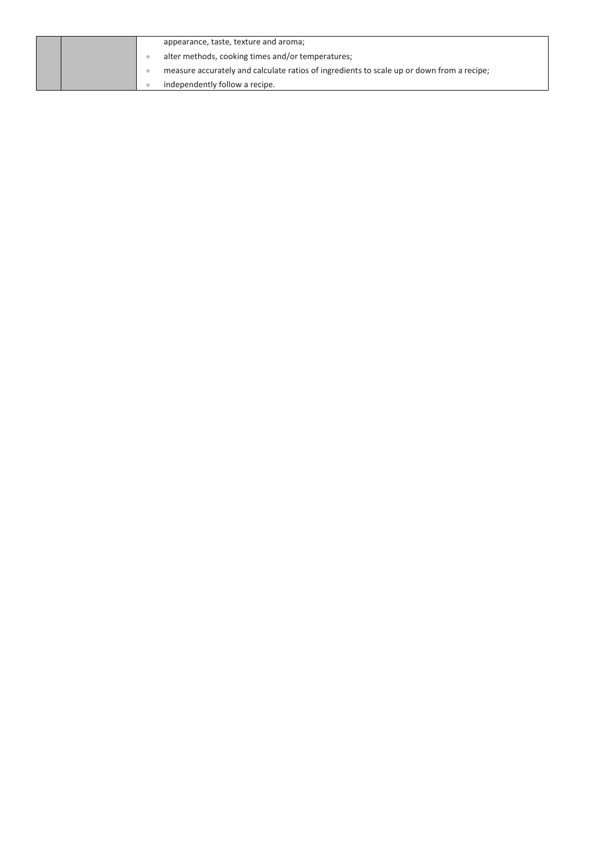|  | appearance, taste, texture and aroma;                                                     |
|--|-------------------------------------------------------------------------------------------|
|  | alter methods, cooking times and/or temperatures;                                         |
|  | measure accurately and calculate ratios of ingredients to scale up or down from a recipe; |
|  | independently follow a recipe.                                                            |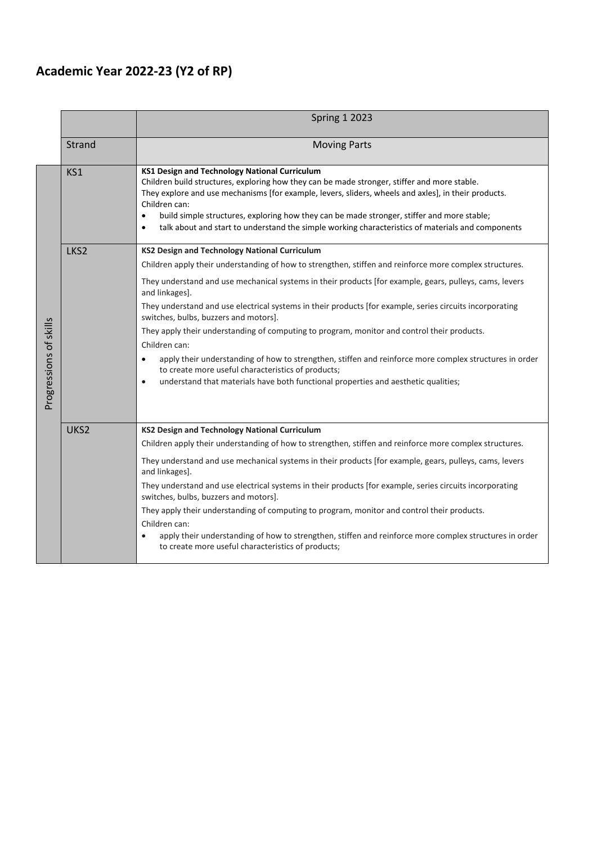## **Academic Year 2022-23 (Y2 of RP)**

|                        |        | <b>Spring 1 2023</b>                                                                                                                                                                                                                                                                                                                                                                                                                                                                                                                                                                                                                                                                                                                                                                                                                       |
|------------------------|--------|--------------------------------------------------------------------------------------------------------------------------------------------------------------------------------------------------------------------------------------------------------------------------------------------------------------------------------------------------------------------------------------------------------------------------------------------------------------------------------------------------------------------------------------------------------------------------------------------------------------------------------------------------------------------------------------------------------------------------------------------------------------------------------------------------------------------------------------------|
|                        | Strand | <b>Moving Parts</b>                                                                                                                                                                                                                                                                                                                                                                                                                                                                                                                                                                                                                                                                                                                                                                                                                        |
|                        | KS1    | KS1 Design and Technology National Curriculum<br>Children build structures, exploring how they can be made stronger, stiffer and more stable.<br>They explore and use mechanisms [for example, levers, sliders, wheels and axles], in their products.<br>Children can:<br>build simple structures, exploring how they can be made stronger, stiffer and more stable;<br>$\bullet$<br>talk about and start to understand the simple working characteristics of materials and components<br>$\bullet$                                                                                                                                                                                                                                                                                                                                        |
| Progressions of skills | LKS2   | KS2 Design and Technology National Curriculum<br>Children apply their understanding of how to strengthen, stiffen and reinforce more complex structures.<br>They understand and use mechanical systems in their products [for example, gears, pulleys, cams, levers<br>and linkages].<br>They understand and use electrical systems in their products [for example, series circuits incorporating<br>switches, bulbs, buzzers and motors].<br>They apply their understanding of computing to program, monitor and control their products.<br>Children can:<br>apply their understanding of how to strengthen, stiffen and reinforce more complex structures in order<br>$\bullet$<br>to create more useful characteristics of products;<br>understand that materials have both functional properties and aesthetic qualities;<br>$\bullet$ |
|                        | UKS2   | <b>KS2 Design and Technology National Curriculum</b><br>Children apply their understanding of how to strengthen, stiffen and reinforce more complex structures.<br>They understand and use mechanical systems in their products [for example, gears, pulleys, cams, levers<br>and linkages].<br>They understand and use electrical systems in their products [for example, series circuits incorporating<br>switches, bulbs, buzzers and motors].<br>They apply their understanding of computing to program, monitor and control their products.<br>Children can:<br>apply their understanding of how to strengthen, stiffen and reinforce more complex structures in order<br>to create more useful characteristics of products;                                                                                                          |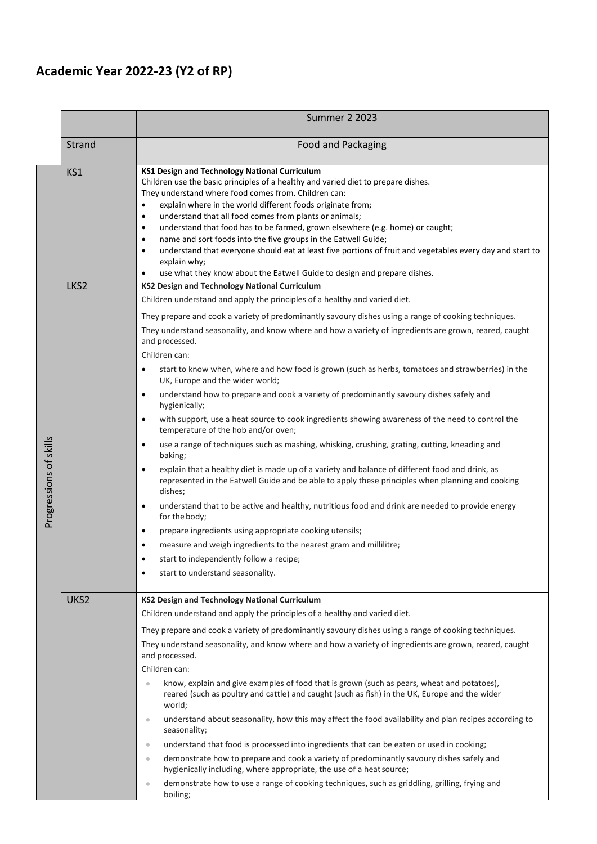## **Academic Year 2022-23 (Y2 of RP)**

|                        |                  | <b>Summer 2 2023</b>                                                                                                                                                                                                                                                                                                                                                                                                                                                                                                                                                                                                                                                                                                                                 |
|------------------------|------------------|------------------------------------------------------------------------------------------------------------------------------------------------------------------------------------------------------------------------------------------------------------------------------------------------------------------------------------------------------------------------------------------------------------------------------------------------------------------------------------------------------------------------------------------------------------------------------------------------------------------------------------------------------------------------------------------------------------------------------------------------------|
|                        | Strand           | <b>Food and Packaging</b>                                                                                                                                                                                                                                                                                                                                                                                                                                                                                                                                                                                                                                                                                                                            |
|                        | KS1              | KS1 Design and Technology National Curriculum<br>Children use the basic principles of a healthy and varied diet to prepare dishes.<br>They understand where food comes from. Children can:<br>explain where in the world different foods originate from;<br>$\bullet$<br>understand that all food comes from plants or animals;<br>$\bullet$<br>understand that food has to be farmed, grown elsewhere (e.g. home) or caught;<br>$\bullet$<br>name and sort foods into the five groups in the Eatwell Guide;<br>$\bullet$<br>understand that everyone should eat at least five portions of fruit and vegetables every day and start to<br>$\bullet$<br>explain why;<br>use what they know about the Eatwell Guide to design and prepare dishes.<br>٠ |
|                        | LKS <sub>2</sub> | <b>KS2 Design and Technology National Curriculum</b>                                                                                                                                                                                                                                                                                                                                                                                                                                                                                                                                                                                                                                                                                                 |
|                        |                  | Children understand and apply the principles of a healthy and varied diet.                                                                                                                                                                                                                                                                                                                                                                                                                                                                                                                                                                                                                                                                           |
|                        |                  | They prepare and cook a variety of predominantly savoury dishes using a range of cooking techniques.<br>They understand seasonality, and know where and how a variety of ingredients are grown, reared, caught<br>and processed.<br>Children can:                                                                                                                                                                                                                                                                                                                                                                                                                                                                                                    |
|                        |                  | start to know when, where and how food is grown (such as herbs, tomatoes and strawberries) in the<br>$\bullet$<br>UK, Europe and the wider world;                                                                                                                                                                                                                                                                                                                                                                                                                                                                                                                                                                                                    |
|                        |                  | understand how to prepare and cook a variety of predominantly savoury dishes safely and<br>$\bullet$<br>hygienically;                                                                                                                                                                                                                                                                                                                                                                                                                                                                                                                                                                                                                                |
|                        |                  | with support, use a heat source to cook ingredients showing awareness of the need to control the<br>$\bullet$<br>temperature of the hob and/or oven;                                                                                                                                                                                                                                                                                                                                                                                                                                                                                                                                                                                                 |
|                        |                  | use a range of techniques such as mashing, whisking, crushing, grating, cutting, kneading and<br>$\bullet$<br>baking;                                                                                                                                                                                                                                                                                                                                                                                                                                                                                                                                                                                                                                |
| Progressions of skills |                  | explain that a healthy diet is made up of a variety and balance of different food and drink, as<br>$\bullet$<br>represented in the Eatwell Guide and be able to apply these principles when planning and cooking<br>dishes;                                                                                                                                                                                                                                                                                                                                                                                                                                                                                                                          |
|                        |                  | understand that to be active and healthy, nutritious food and drink are needed to provide energy<br>$\bullet$<br>for the body;                                                                                                                                                                                                                                                                                                                                                                                                                                                                                                                                                                                                                       |
|                        |                  | prepare ingredients using appropriate cooking utensils;<br>$\bullet$                                                                                                                                                                                                                                                                                                                                                                                                                                                                                                                                                                                                                                                                                 |
|                        |                  | measure and weigh ingredients to the nearest gram and millilitre;<br>٠                                                                                                                                                                                                                                                                                                                                                                                                                                                                                                                                                                                                                                                                               |
|                        |                  | start to independently follow a recipe;<br>٠                                                                                                                                                                                                                                                                                                                                                                                                                                                                                                                                                                                                                                                                                                         |
|                        |                  | start to understand seasonality.<br>٠                                                                                                                                                                                                                                                                                                                                                                                                                                                                                                                                                                                                                                                                                                                |
|                        | UKS2             | <b>KS2 Design and Technology National Curriculum</b>                                                                                                                                                                                                                                                                                                                                                                                                                                                                                                                                                                                                                                                                                                 |
|                        |                  | Children understand and apply the principles of a healthy and varied diet.                                                                                                                                                                                                                                                                                                                                                                                                                                                                                                                                                                                                                                                                           |
|                        |                  | They prepare and cook a variety of predominantly savoury dishes using a range of cooking techniques.                                                                                                                                                                                                                                                                                                                                                                                                                                                                                                                                                                                                                                                 |
|                        |                  | They understand seasonality, and know where and how a variety of ingredients are grown, reared, caught<br>and processed.                                                                                                                                                                                                                                                                                                                                                                                                                                                                                                                                                                                                                             |
|                        |                  | Children can:                                                                                                                                                                                                                                                                                                                                                                                                                                                                                                                                                                                                                                                                                                                                        |
|                        |                  | know, explain and give examples of food that is grown (such as pears, wheat and potatoes),<br>$\qquad \qquad \bullet$<br>reared (such as poultry and cattle) and caught (such as fish) in the UK, Europe and the wider<br>world;                                                                                                                                                                                                                                                                                                                                                                                                                                                                                                                     |
|                        |                  | understand about seasonality, how this may affect the food availability and plan recipes according to<br>$\qquad \qquad \circ$<br>seasonality;                                                                                                                                                                                                                                                                                                                                                                                                                                                                                                                                                                                                       |
|                        |                  | understand that food is processed into ingredients that can be eaten or used in cooking;<br>$\qquad \qquad \oplus$                                                                                                                                                                                                                                                                                                                                                                                                                                                                                                                                                                                                                                   |
|                        |                  | demonstrate how to prepare and cook a variety of predominantly savoury dishes safely and<br>$\bullet$<br>hygienically including, where appropriate, the use of a heat source;                                                                                                                                                                                                                                                                                                                                                                                                                                                                                                                                                                        |
|                        |                  | demonstrate how to use a range of cooking techniques, such as griddling, grilling, frying and<br>$\hfill \textcircled{1}$<br>boiling;                                                                                                                                                                                                                                                                                                                                                                                                                                                                                                                                                                                                                |